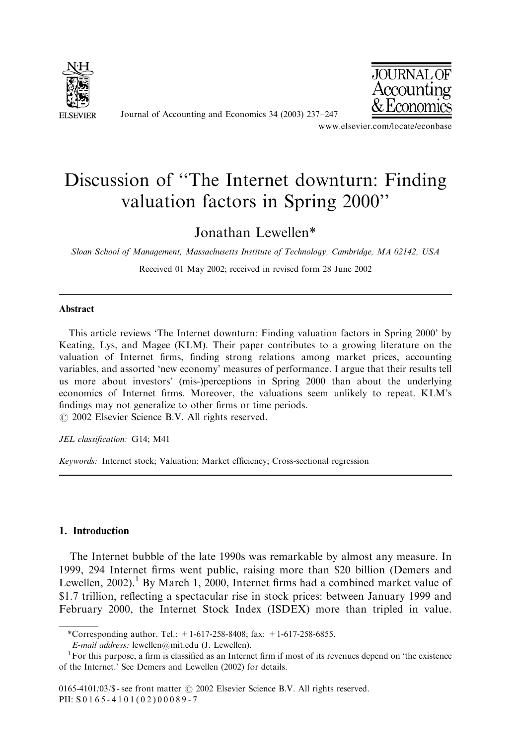

Journal of Accounting and Economics 34 (2003) 237–247



www.elsevier.com/locate/econbase

# Discussion of ''The Internet downturn: Finding valuation factors in Spring 2000''

Jonathan Lewellen\*

Sloan School of Management, Massachusetts Institute of Technology, Cambridge, MA 02142, USA

Received 01 May 2002; received in revised form 28 June 2002

#### Abstract

This article reviews 'The Internet downturn: Finding valuation factors in Spring 2000' by Keating, Lys, and Magee (KLM). Their paper contributes to a growing literature on the valuation of Internet firms, finding strong relations among market prices, accounting variables, and assorted 'neweconomy' measures of performance. I argue that their results tell us more about investors' (mis-)perceptions in Spring 2000 than about the underlying economics of Internet firms. Moreover, the valuations seem unlikely to repeat. KLM's findings may not generalize to other firms or time periods.  $\odot$  2002 Elsevier Science B.V. All rights reserved.

JEL classification: G14; M41

Keywords: Internet stock; Valuation; Market efficiency; Cross-sectional regression

## 1. Introduction

The Internet bubble of the late 1990s was remarkable by almost any measure. In 1999, 294 Internet firms went public, raising more than \$20 billion (Demers and Lewellen,  $2002$ ).<sup>1</sup> By March 1, 2000, Internet firms had a combined market value of \$1.7 trillion, reflecting a spectacular rise in stock prices: between January 1999 and February 2000, the Internet Stock Index (ISDEX) more than tripled in value.

<sup>\*</sup>Corresponding author. Tel.:  $+1-617-258-8408$ ; fax:  $+1-617-258-6855$ .

E-mail address: lewellen@mit.edu (J. Lewellen). <sup>1</sup>

<sup>&</sup>lt;sup>1</sup> For this purpose, a firm is classified as an Internet firm if most of its revenues depend on 'the existence of the Internet.' See Demers and Lewellen (2002) for details.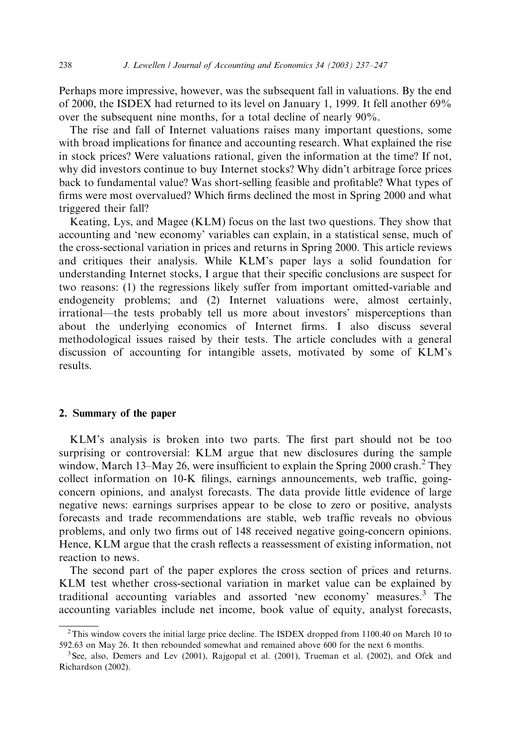Perhaps more impressive, however, was the subsequent fall in valuations. By the end of 2000, the ISDEX had returned to its level on January 1, 1999. It fell another 69% over the subsequent nine months, for a total decline of nearly 90%.

The rise and fall of Internet valuations raises many important questions, some with broad implications for finance and accounting research. What explained the rise in stock prices? Were valuations rational, given the information at the time? If not, why did investors continue to buy Internet stocks? Why didn't arbitrage force prices back to fundamental value? Was short-selling feasible and profitable? What types of firms were most overvalued? Which firms declined the most in Spring 2000 and what triggered their fall?

Keating, Lys, and Magee (KLM) focus on the last two questions. They show that accounting and 'neweconomy' variables can explain, in a statistical sense, much of the cross-sectional variation in prices and returns in Spring 2000. This article reviews and critiques their analysis. While KLM's paper lays a solid foundation for understanding Internet stocks, I argue that their specific conclusions are suspect for two reasons: (1) the regressions likely suffer from important omitted-variable and endogeneity problems; and (2) Internet valuations were, almost certainly, irrational––the tests probably tell us more about investors' misperceptions than about the underlying economics of Internet firms. I also discuss several methodological issues raised by their tests. The article concludes with a general discussion of accounting for intangible assets, motivated by some of KLM's results.

# 2. Summary of the paper

KLM's analysis is broken into two parts. The first part should not be too surprising or controversial: KLM argue that new disclosures during the sample window, March 13–May 26, were insufficient to explain the Spring 2000 crash.<sup>2</sup> They collect information on 10-K filings, earnings announcements, web traffic, goingconcern opinions, and analyst forecasts. The data provide little evidence of large negative news: earnings surprises appear to be close to zero or positive, analysts forecasts and trade recommendations are stable, web traffic reveals no obvious problems, and only two firms out of 148 received negative going-concern opinions. Hence, KLM argue that the crash reflects a reassessment of existing information, not reaction to news.

The second part of the paper explores the cross section of prices and returns. KLM test whether cross-sectional variation in market value can be explained by traditional accounting variables and assorted 'new economy' measures.<sup>3</sup> The accounting variables include net income, book value of equity, analyst forecasts,

<sup>&</sup>lt;sup>2</sup>This window covers the initial large price decline. The ISDEX dropped from 1100.40 on March 10 to 592.63 on May 26. It then rebounded somewhat and remained above 600 for the next 6 months. <sup>3</sup>

 $3$  See, also, Demers and Lev (2001), Rajgopal et al. (2001), Trueman et al. (2002), and Ofek and Richardson (2002).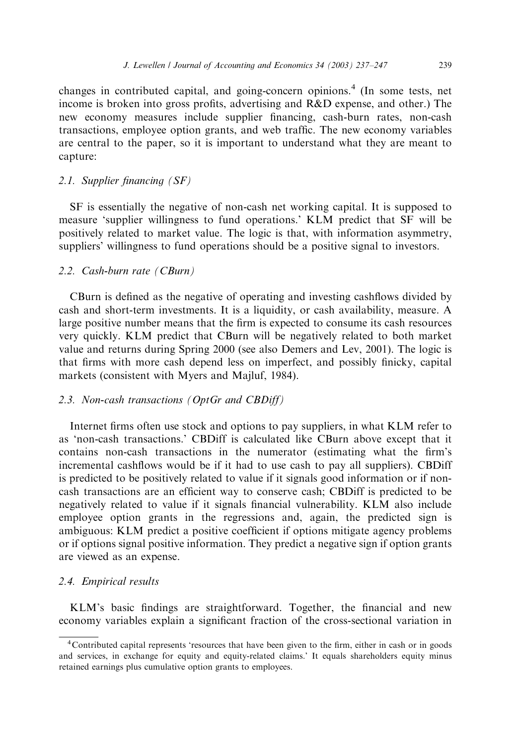changes in contributed capital, and going-concern opinions.<sup>4</sup> (In some tests, net income is broken into gross profits, advertising and R&D expense, and other.) The new economy measures include supplier financing, cash-burn rates, non-cash transactions, employee option grants, and web traffic. The new economy variables are central to the paper, so it is important to understand what they are meant to capture:

#### 2.1. Supplier financing (SF)

SF is essentially the negative of non-cash net working capital. It is supposed to measure 'supplier willingness to fund operations.' KLM predict that SF will be positively related to market value. The logic is that, with information asymmetry, suppliers' willingness to fund operations should be a positive signal to investors.

#### 2.2. Cash-burn rate (CBurn)

CBurn is defined as the negative of operating and investing cashflows divided by cash and short-term investments. It is a liquidity, or cash availability, measure. A large positive number means that the firm is expected to consume its cash resources very quickly. KLM predict that CBurn will be negatively related to both market value and returns during Spring 2000 (see also Demers and Lev, 2001). The logic is that firms with more cash depend less on imperfect, and possibly finicky, capital markets (consistent with Myers and Majluf, 1984).

## 2.3. Non-cash transactions (OptGr and CBDiff)

Internet firms often use stock and options to pay suppliers, in what KLM refer to as 'non-cash transactions.' CBDiff is calculated like CBurn above except that it contains non-cash transactions in the numerator (estimating what the firm's incremental cashflows would be if it had to use cash to pay all suppliers). CBDiff is predicted to be positively related to value if it signals good information or if noncash transactions are an efficient way to conserve cash; CBDiff is predicted to be negatively related to value if it signals financial vulnerability. KLM also include employee option grants in the regressions and, again, the predicted sign is ambiguous: KLM predict a positive coefficient if options mitigate agency problems or if options signal positive information. They predict a negative sign if option grants are viewed as an expense.

## 2.4. Empirical results

KLM's basic findings are straightforward. Together, the financial and new economy variables explain a significant fraction of the cross-sectional variation in

<sup>&</sup>lt;sup>4</sup> Contributed capital represents 'resources that have been given to the firm, either in cash or in goods and services, in exchange for equity and equity-related claims.' It equals shareholders equity minus retained earnings plus cumulative option grants to employees.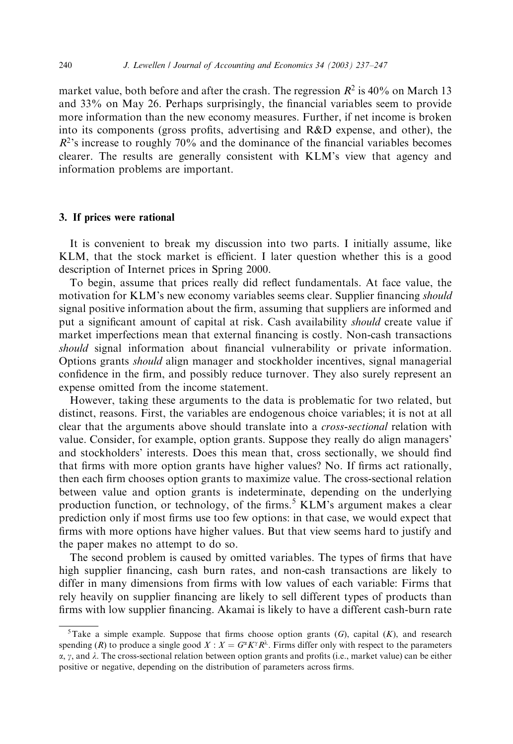market value, both before and after the crash. The regression  $R^2$  is 40% on March 13 and 33% on May 26. Perhaps surprisingly, the financial variables seem to provide more information than the neweconomy measures. Further, if net income is broken into its components (gross profits, advertising and R&D expense, and other), the  $R^2$ 's increase to roughly 70% and the dominance of the financial variables becomes clearer. The results are generally consistent with KLM's view that agency and information problems are important.

#### 3. If prices were rational

It is convenient to break my discussion into two parts. I initially assume, like KLM, that the stock market is efficient. I later question whether this is a good description of Internet prices in Spring 2000.

To begin, assume that prices really did reflect fundamentals. At face value, the motivation for KLM's new economy variables seems clear. Supplier financing *should* signal positive information about the firm, assuming that suppliers are informed and put a significant amount of capital at risk. Cash availability should create value if market imperfections mean that external financing is costly. Non-cash transactions should signal information about financial vulnerability or private information. Options grants should align manager and stockholder incentives, signal managerial confidence in the firm, and possibly reduce turnover. They also surely represent an expense omitted from the income statement.

However, taking these arguments to the data is problematic for two related, but distinct, reasons. First, the variables are endogenous choice variables; it is not at all clear that the arguments above should translate into a cross-sectional relation with value. Consider, for example, option grants. Suppose they really do align managers' and stockholders' interests. Does this mean that, cross sectionally, we should find that firms with more option grants have higher values? No. If firms act rationally, then each firm chooses option grants to maximize value. The cross-sectional relation between value and option grants is indeterminate, depending on the underlying production function, or technology, of the firms.<sup>5</sup> KLM's argument makes a clear prediction only if most firms use too few options: in that case, we would expect that firms with more options have higher values. But that view seems hard to justify and the paper makes no attempt to do so.

The second problem is caused by omitted variables. The types of firms that have high supplier financing, cash burn rates, and non-cash transactions are likely to differ in many dimensions from firms with low values of each variable: Firms that rely heavily on supplier financing are likely to sell different types of products than firms with low supplier financing. Akamai is likely to have a different cash-burn rate

<sup>&</sup>lt;sup>5</sup>Take a simple example. Suppose that firms choose option grants  $(G)$ , capital  $(K)$ , and research spending (R) to produce a single good  $X : X = G^{\alpha} K^{\gamma} R^{\lambda}$ . Firms differ only with respect to the parameters  $\alpha$ ,  $\gamma$ , and  $\lambda$ . The cross-sectional relation between option grants and profits (i.e., market value) can be either positive or negative, depending on the distribution of parameters across firms.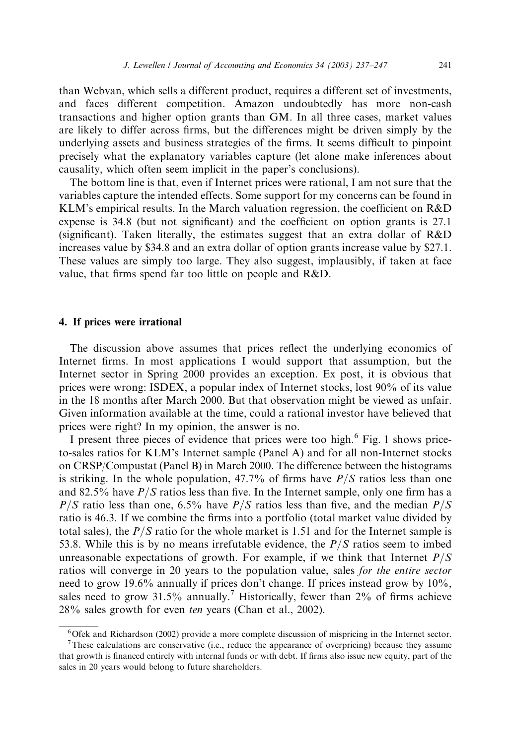than Webvan, which sells a different product, requires a different set of investments, and faces different competition. Amazon undoubtedly has more non-cash transactions and higher option grants than GM. In all three cases, market values are likely to differ across firms, but the differences might be driven simply by the underlying assets and business strategies of the firms. It seems difficult to pinpoint precisely what the explanatory variables capture (let alone make inferences about causality, which often seem implicit in the paper's conclusions).

The bottom line is that, even if Internet prices were rational, I am not sure that the variables capture the intended effects. Some support for my concerns can be found in KLM's empirical results. In the March valuation regression, the coefficient on R&D expense is 34.8 (but not significant) and the coefficient on option grants is 27.1 (significant). Taken literally, the estimates suggest that an extra dollar of R&D increases value by \$34.8 and an extra dollar of option grants increase value by \$27.1. These values are simply too large. They also suggest, implausibly, if taken at face value, that firms spend far too little on people and R&D.

#### 4. If prices were irrational

The discussion above assumes that prices reflect the underlying economics of Internet firms. In most applications I would support that assumption, but the Internet sector in Spring 2000 provides an exception. Ex post, it is obvious that prices were wrong: ISDEX, a popular index of Internet stocks, lost 90% of its value in the 18 months after March 2000. But that observation might be viewed as unfair. Given information available at the time, could a rational investor have believed that prices were right? In my opinion, the answer is no.

I present three pieces of evidence that prices were too high.<sup>6</sup> Fig. 1 shows priceto-sales ratios for KLM's Internet sample (Panel A) and for all non-Internet stocks on CRSP/Compustat (Panel B) in March 2000. The difference between the histograms is striking. In the whole population,  $47.7\%$  of firms have  $P/S$  ratios less than one and 82.5% have  $P/S$  ratios less than five. In the Internet sample, only one firm has a  $P/S$  ratio less than one, 6.5% have  $P/S$  ratios less than five, and the median  $P/S$ ratio is 46.3. If we combine the firms into a portfolio (total market value divided by total sales), the  $P/S$  ratio for the whole market is 1.51 and for the Internet sample is 53.8. While this is by no means irrefutable evidence, the  $P/S$  ratios seem to imbed unreasonable expectations of growth. For example, if we think that Internet  $P/S$ ratios will converge in 20 years to the population value, sales for the entire sector need to grow 19.6% annually if prices don't change. If prices instead grow by 10%, sales need to grow  $31.5\%$  annually.<sup>7</sup> Historically, fewer than 2% of firms achieve 28% sales growth for even ten years (Chan et al., 2002).

<sup>6</sup>Ofek and Richardson (2002) provide a more complete discussion of mispricing in the Internet sector.

 $7$ These calculations are conservative (i.e., reduce the appearance of overpricing) because they assume that growth is financed entirely with internal funds or with debt. If firms also issue new equity, part of the sales in 20 years would belong to future shareholders.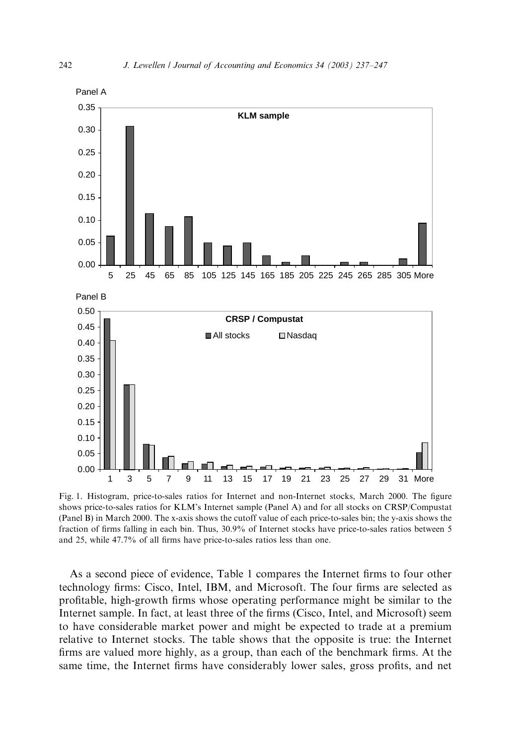

Fig. 1. Histogram, price-to-sales ratios for Internet and non-Internet stocks, March 2000. The figure shows price-to-sales ratios for KLM's Internet sample (Panel A) and for all stocks on CRSP/Compustat (Panel B) in March 2000. The x-axis shows the cutoff value of each price-to-sales bin; the y-axis shows the fraction of firms falling in each bin. Thus, 30.9% of Internet stocks have price-to-sales ratios between 5 and 25, while 47.7% of all firms have price-to-sales ratios less than one.

As a second piece of evidence, Table 1 compares the Internet firms to four other technology firms: Cisco, Intel, IBM, and Microsoft. The four firms are selected as profitable, high-growth firms whose operating performance might be similar to the Internet sample. In fact, at least three of the firms (Cisco, Intel, and Microsoft) seem to have considerable market power and might be expected to trade at a premium relative to Internet stocks. The table shows that the opposite is true: the Internet firms are valued more highly, as a group, than each of the benchmark firms. At the same time, the Internet firms have considerably lower sales, gross profits, and net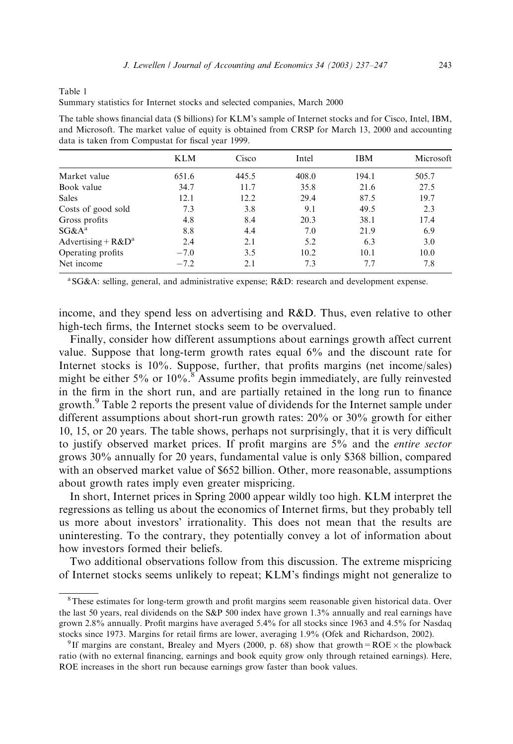Table 1

Summary statistics for Internet stocks and selected companies, March 2000

The table shows financial data (\$ billions) for KLM's sample of Internet stocks and for Cisco, Intel, IBM, and Microsoft. The market value of equity is obtained from CRSP for March 13, 2000 and accounting data is taken from Compustat for fiscal year 1999.

|                        | KLM    | Cisco | Intel | <b>IBM</b> | Microsoft |
|------------------------|--------|-------|-------|------------|-----------|
| Market value           | 651.6  | 445.5 | 408.0 | 194.1      | 505.7     |
| Book value             | 34.7   | 11.7  | 35.8  | 21.6       | 27.5      |
| <b>Sales</b>           | 12.1   | 12.2  | 29.4  | 87.5       | 19.7      |
| Costs of good sold     | 7.3    | 3.8   | 9.1   | 49.5       | 2.3       |
| Gross profits          | 4.8    | 8.4   | 20.3  | 38.1       | 17.4      |
| $SG&A^a$               | 8.8    | 4.4   | 7.0   | 21.9       | 6.9       |
| Advertising + $R\&D^a$ | 2.4    | 2.1   | 5.2   | 6.3        | 3.0       |
| Operating profits      | $-7.0$ | 3.5   | 10.2  | 10.1       | 10.0      |
| Net income             | $-7.2$ | 2.1   | 7.3   | 7.7        | 7.8       |

<sup>a</sup>SG&A: selling, general, and administrative expense; R&D: research and development expense.

income, and they spend less on advertising and R&D. Thus, even relative to other high-tech firms, the Internet stocks seem to be overvalued.

Finally, consider how different assumptions about earnings growth affect current value. Suppose that long-term growth rates equal 6% and the discount rate for Internet stocks is 10%. Suppose, further, that profits margins (net income/sales) might be either  $5\%$  or  $10\%$ .<sup>8</sup> Assume profits begin immediately, are fully reinvested in the firm in the short run, and are partially retained in the long run to finance growth.<sup>9</sup> Table 2 reports the present value of dividends for the Internet sample under different assumptions about short-run growth rates: 20% or 30% growth for either 10, 15, or 20 years. The table shows, perhaps not surprisingly, that it is very difficult to justify observed market prices. If profit margins are 5% and the entire sector grows 30% annually for 20 years, fundamental value is only \$368 billion, compared with an observed market value of \$652 billion. Other, more reasonable, assumptions about growth rates imply even greater mispricing.

In short, Internet prices in Spring 2000 appear wildly too high. KLM interpret the regressions as telling us about the economics of Internet firms, but they probably tell us more about investors' irrationality. This does not mean that the results are uninteresting. To the contrary, they potentially convey a lot of information about how investors formed their beliefs.

Two additional observations follow from this discussion. The extreme mispricing of Internet stocks seems unlikely to repeat; KLM's findings might not generalize to

<sup>&</sup>lt;sup>8</sup>These estimates for long-term growth and profit margins seem reasonable given historical data. Over the last 50 years, real dividends on the S&P 500 index have grown 1.3% annually and real earnings have grown 2.8% annually. Profit margins have averaged 5.4% for all stocks since 1963 and 4.5% for Nasdaq stocks since 1973. Margins for retail firms are lower, averaging 1.9% (Ofek and Richardson, 2002).

<sup>&</sup>lt;sup>9</sup> If margins are constant, Brealey and Myers (2000, p. 68) show that growth=ROE  $\times$  the plowback ratio (with no external financing, earnings and book equity grow only through retained earnings). Here, ROE increases in the short run because earnings grow faster than book values.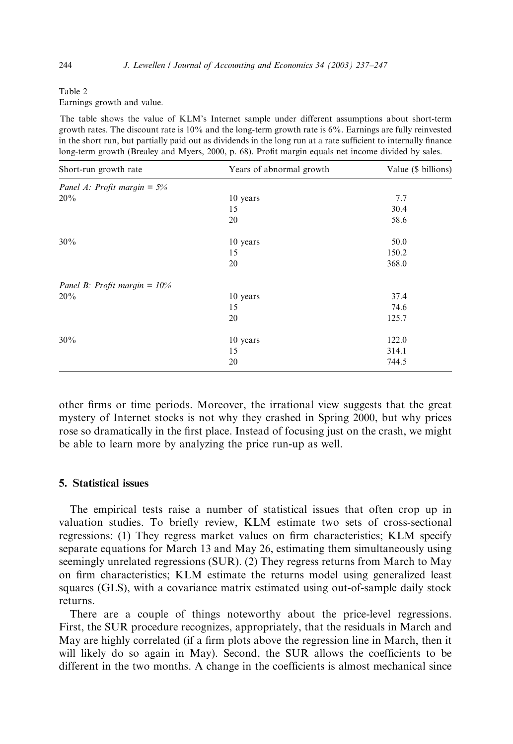#### Table 2 Earnings growth and value.

The table shows the value of KLM's Internet sample under different assumptions about short-term growth rates. The discount rate is 10% and the long-term growth rate is 6%. Earnings are fully reinvested in the short run, but partially paid out as dividends in the long run at a rate sufficient to internally finance long-term growth (Brealey and Myers, 2000, p. 68). Profit margin equals net income divided by sales.

| Short-run growth rate           | Years of abnormal growth | Value (\$ billions) |
|---------------------------------|--------------------------|---------------------|
| Panel A: Profit margin = $5\%$  |                          |                     |
| 20%                             | 10 years                 | 7.7                 |
|                                 | 15                       | 30.4                |
|                                 | 20                       | 58.6                |
| 30%                             | 10 years                 | 50.0                |
|                                 | 15                       | 150.2               |
|                                 | 20                       | 368.0               |
| Panel B: Profit margin = $10\%$ |                          |                     |
| 20%                             | 10 years                 | 37.4                |
|                                 | 15                       | 74.6                |
|                                 | 20                       | 125.7               |
| 30%                             | 10 years                 | 122.0               |
|                                 | 15                       | 314.1               |
|                                 | 20                       | 744.5               |

other firms or time periods. Moreover, the irrational viewsuggests that the great mystery of Internet stocks is not why they crashed in Spring 2000, but why prices rose so dramatically in the first place. Instead of focusing just on the crash, we might be able to learn more by analyzing the price run-up as well.

### 5. Statistical issues

The empirical tests raise a number of statistical issues that often crop up in valuation studies. To briefly review, KLM estimate two sets of cross-sectional regressions: (1) They regress market values on firm characteristics; KLM specify separate equations for March 13 and May 26, estimating them simultaneously using seemingly unrelated regressions (SUR). (2) They regress returns from March to May on firm characteristics; KLM estimate the returns model using generalized least squares (GLS), with a covariance matrix estimated using out-of-sample daily stock returns.

There are a couple of things noteworthy about the price-level regressions. First, the SUR procedure recognizes, appropriately, that the residuals in March and May are highly correlated (if a firm plots above the regression line in March, then it will likely do so again in May). Second, the SUR allows the coefficients to be different in the two months. A change in the coefficients is almost mechanical since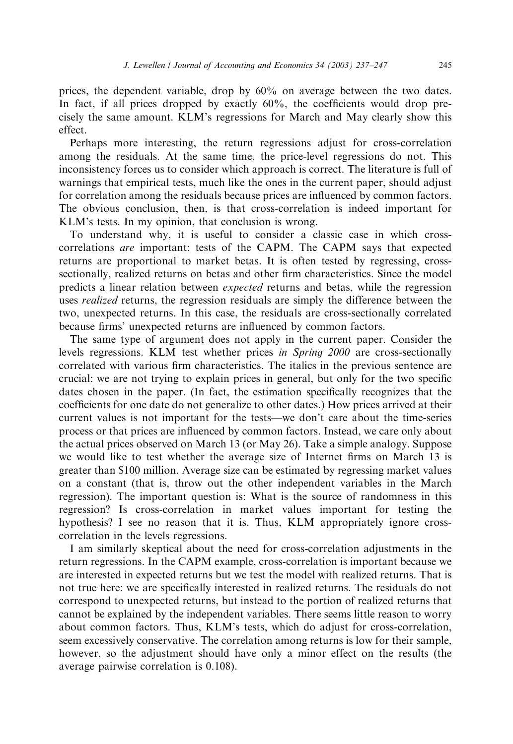prices, the dependent variable, drop by 60% on average between the two dates. In fact, if all prices dropped by exactly 60%, the coefficients would drop precisely the same amount. KLM's regressions for March and May clearly showthis effect.

Perhaps more interesting, the return regressions adjust for cross-correlation among the residuals. At the same time, the price-level regressions do not. This inconsistency forces us to consider which approach is correct. The literature is full of warnings that empirical tests, much like the ones in the current paper, should adjust for correlation among the residuals because prices are influenced by common factors. The obvious conclusion, then, is that cross-correlation is indeed important for KLM's tests. In my opinion, that conclusion is wrong.

To understand why, it is useful to consider a classic case in which crosscorrelations are important: tests of the CAPM. The CAPM says that expected returns are proportional to market betas. It is often tested by regressing, crosssectionally, realized returns on betas and other firm characteristics. Since the model predicts a linear relation between expected returns and betas, while the regression uses *realized* returns, the regression residuals are simply the difference between the two, unexpected returns. In this case, the residuals are cross-sectionally correlated because firms' unexpected returns are influenced by common factors.

The same type of argument does not apply in the current paper. Consider the levels regressions. KLM test whether prices in Spring 2000 are cross-sectionally correlated with various firm characteristics. The italics in the previous sentence are crucial: we are not trying to explain prices in general, but only for the two specific dates chosen in the paper. (In fact, the estimation specifically recognizes that the coefficients for one date do not generalize to other dates.) Howprices arrived at their current values is not important for the tests––we don't care about the time-series process or that prices are influenced by common factors. Instead, we care only about the actual prices observed on March 13 (or May 26). Take a simple analogy. Suppose we would like to test whether the average size of Internet firms on March 13 is greater than \$100 million. Average size can be estimated by regressing market values on a constant (that is, throwout the other independent variables in the March regression). The important question is: What is the source of randomness in this regression? Is cross-correlation in market values important for testing the hypothesis? I see no reason that it is. Thus, KLM appropriately ignore crosscorrelation in the levels regressions.

I am similarly skeptical about the need for cross-correlation adjustments in the return regressions. In the CAPM example, cross-correlation is important because we are interested in expected returns but we test the model with realized returns. That is not true here: we are specifically interested in realized returns. The residuals do not correspond to unexpected returns, but instead to the portion of realized returns that cannot be explained by the independent variables. There seems little reason to worry about common factors. Thus, KLM's tests, which do adjust for cross-correlation, seem excessively conservative. The correlation among returns is lowfor their sample, however, so the adjustment should have only a minor effect on the results (the average pairwise correlation is 0.108).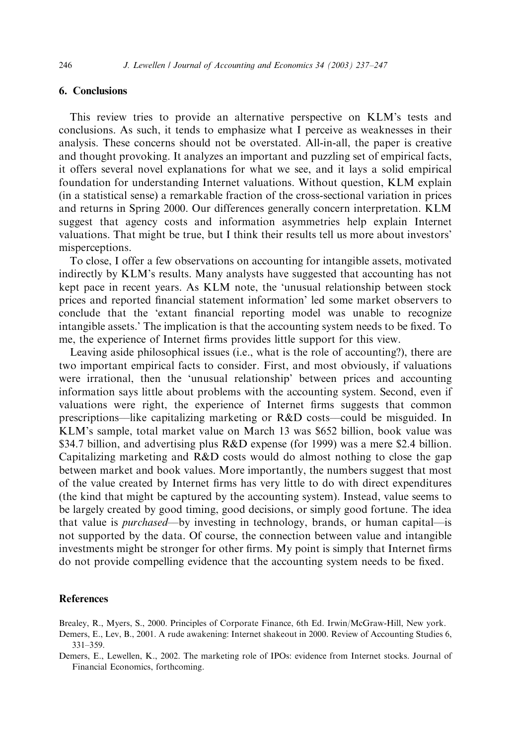## 6. Conclusions

This review tries to provide an alternative perspective on KLM's tests and conclusions. As such, it tends to emphasize what I perceive as weaknesses in their analysis. These concerns should not be overstated. All-in-all, the paper is creative and thought provoking. It analyzes an important and puzzling set of empirical facts, it offers several novel explanations for what we see, and it lays a solid empirical foundation for understanding Internet valuations. Without question, KLM explain (in a statistical sense) a remarkable fraction of the cross-sectional variation in prices and returns in Spring 2000. Our differences generally concern interpretation. KLM suggest that agency costs and information asymmetries help explain Internet valuations. That might be true, but I think their results tell us more about investors' misperceptions.

To close, I offer a fewobservations on accounting for intangible assets, motivated indirectly by KLM's results. Many analysts have suggested that accounting has not kept pace in recent years. As KLM note, the 'unusual relationship between stock prices and reported financial statement information' led some market observers to conclude that the 'extant financial reporting model was unable to recognize intangible assets.' The implication is that the accounting system needs to be fixed. To me, the experience of Internet firms provides little support for this view.

Leaving aside philosophical issues (i.e., what is the role of accounting?), there are two important empirical facts to consider. First, and most obviously, if valuations were irrational, then the 'unusual relationship' between prices and accounting information says little about problems with the accounting system. Second, even if valuations were right, the experience of Internet firms suggests that common prescriptions––like capitalizing marketing or R&D costs––could be misguided. In KLM's sample, total market value on March 13 was \$652 billion, book value was \$34.7 billion, and advertising plus R&D expense (for 1999) was a mere \$2.4 billion. Capitalizing marketing and R&D costs would do almost nothing to close the gap between market and book values. More importantly, the numbers suggest that most of the value created by Internet firms has very little to do with direct expenditures (the kind that might be captured by the accounting system). Instead, value seems to be largely created by good timing, good decisions, or simply good fortune. The idea that value is *purchased*—by investing in technology, brands, or human capital—is not supported by the data. Of course, the connection between value and intangible investments might be stronger for other firms. My point is simply that Internet firms do not provide compelling evidence that the accounting system needs to be fixed.

# References

- Brealey, R., Myers, S., 2000. Principles of Corporate Finance, 6th Ed. Irwin/McGraw-Hill, New york.
- Demers, E., Lev, B., 2001. A rude awakening: Internet shakeout in 2000. Review of Accounting Studies 6, 331–359.

Demers, E., Lewellen, K., 2002. The marketing role of IPOs: evidence from Internet stocks. Journal of Financial Economics, forthcoming.